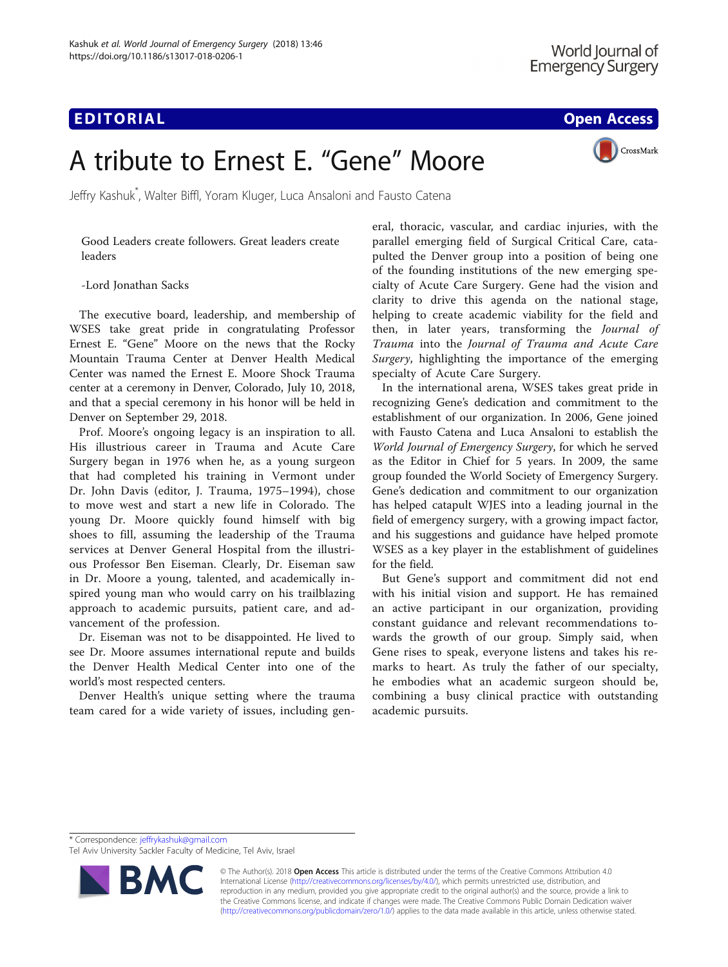## **EDITORIAL CONSTRUCTION CONSTRUCTION CONSTRUCTS**

CrossMark

# A tribute to Ernest E. "Gene" Moore

Jeffry Kashuk\* , Walter Biffl, Yoram Kluger, Luca Ansaloni and Fausto Catena

Good Leaders create followers. Great leaders create leaders

-Lord Jonathan Sacks

The executive board, leadership, and membership of WSES take great pride in congratulating Professor Ernest E. "Gene" Moore on the news that the Rocky Mountain Trauma Center at Denver Health Medical Center was named the Ernest E. Moore Shock Trauma center at a ceremony in Denver, Colorado, July 10, 2018, and that a special ceremony in his honor will be held in Denver on September 29, 2018.

Prof. Moore's ongoing legacy is an inspiration to all. His illustrious career in Trauma and Acute Care Surgery began in 1976 when he, as a young surgeon that had completed his training in Vermont under Dr. John Davis (editor, J. Trauma, 1975–1994), chose to move west and start a new life in Colorado. The young Dr. Moore quickly found himself with big shoes to fill, assuming the leadership of the Trauma services at Denver General Hospital from the illustrious Professor Ben Eiseman. Clearly, Dr. Eiseman saw in Dr. Moore a young, talented, and academically inspired young man who would carry on his trailblazing approach to academic pursuits, patient care, and advancement of the profession.

Dr. Eiseman was not to be disappointed. He lived to see Dr. Moore assumes international repute and builds the Denver Health Medical Center into one of the world's most respected centers.

Denver Health's unique setting where the trauma team cared for a wide variety of issues, including general, thoracic, vascular, and cardiac injuries, with the parallel emerging field of Surgical Critical Care, catapulted the Denver group into a position of being one of the founding institutions of the new emerging specialty of Acute Care Surgery. Gene had the vision and clarity to drive this agenda on the national stage, helping to create academic viability for the field and then, in later years, transforming the Journal of Trauma into the Journal of Trauma and Acute Care Surgery, highlighting the importance of the emerging specialty of Acute Care Surgery.

In the international arena, WSES takes great pride in recognizing Gene's dedication and commitment to the establishment of our organization. In 2006, Gene joined with Fausto Catena and Luca Ansaloni to establish the World Journal of Emergency Surgery, for which he served as the Editor in Chief for 5 years. In 2009, the same group founded the World Society of Emergency Surgery. Gene's dedication and commitment to our organization has helped catapult WJES into a leading journal in the field of emergency surgery, with a growing impact factor, and his suggestions and guidance have helped promote WSES as a key player in the establishment of guidelines for the field.

But Gene's support and commitment did not end with his initial vision and support. He has remained an active participant in our organization, providing constant guidance and relevant recommendations towards the growth of our group. Simply said, when Gene rises to speak, everyone listens and takes his remarks to heart. As truly the father of our specialty, he embodies what an academic surgeon should be, combining a busy clinical practice with outstanding academic pursuits.

Tel Aviv University Sackler Faculty of Medicine, Tel Aviv, Israel



© The Author(s). 2018 Open Access This article is distributed under the terms of the Creative Commons Attribution 4.0 International License [\(http://creativecommons.org/licenses/by/4.0/](http://creativecommons.org/licenses/by/4.0/)), which permits unrestricted use, distribution, and reproduction in any medium, provided you give appropriate credit to the original author(s) and the source, provide a link to the Creative Commons license, and indicate if changes were made. The Creative Commons Public Domain Dedication waiver [\(http://creativecommons.org/publicdomain/zero/1.0/](http://creativecommons.org/publicdomain/zero/1.0/)) applies to the data made available in this article, unless otherwise stated.

<sup>\*</sup> Correspondence: [jeffrykashuk@gmail.com](mailto:jeffrykashuk@gmail.com)